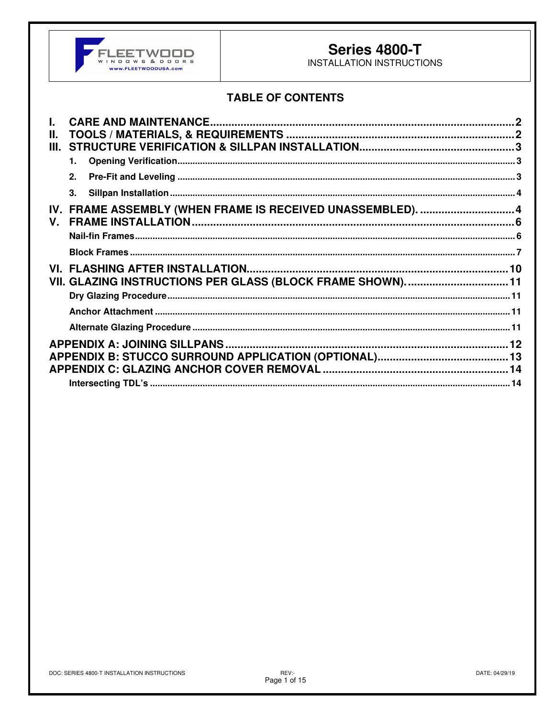

## **Series 4800-T**

INSTALLATION INSTRUCTIONS

## **TABLE OF CONTENTS**

| П.          |                                                             |  |
|-------------|-------------------------------------------------------------|--|
| III.        |                                                             |  |
|             |                                                             |  |
|             | 2.                                                          |  |
|             | 3.                                                          |  |
|             | IV. FRAME ASSEMBLY (WHEN FRAME IS RECEIVED UNASSEMBLED).  4 |  |
| $V_{\cdot}$ |                                                             |  |
|             |                                                             |  |
|             |                                                             |  |
|             |                                                             |  |
|             | VII. GLAZING INSTRUCTIONS PER GLASS (BLOCK FRAME SHOWN). 11 |  |
|             |                                                             |  |
|             |                                                             |  |
|             |                                                             |  |
|             |                                                             |  |
|             |                                                             |  |
|             |                                                             |  |
|             |                                                             |  |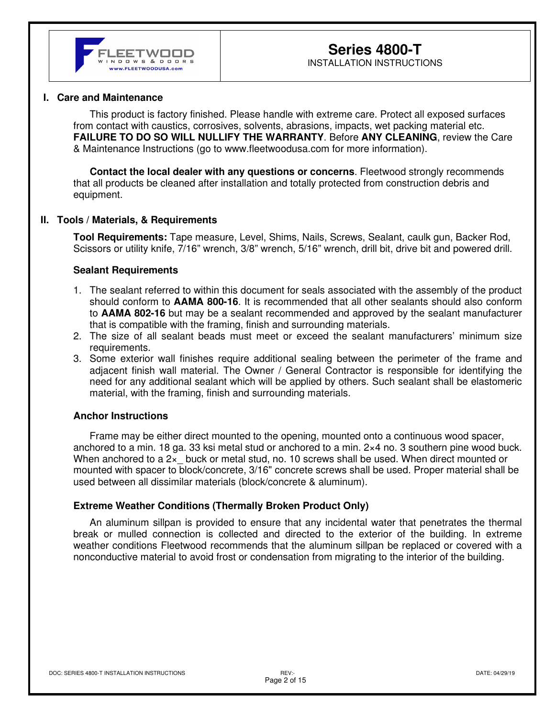#### **I. Care and Maintenance**

This product is factory finished. Please handle with extreme care. Protect all exposed surfaces from contact with caustics, corrosives, solvents, abrasions, impacts, wet packing material etc. **FAILURE TO DO SO WILL NULLIFY THE WARRANTY**. Before **ANY CLEANING**, review the Care & Maintenance Instructions (go to www.fleetwoodusa.com for more information).

**Contact the local dealer with any questions or concerns**. Fleetwood strongly recommends that all products be cleaned after installation and totally protected from construction debris and equipment.

#### **II. Tools / Materials, & Requirements**

**Tool Requirements:** Tape measure, Level, Shims, Nails, Screws, Sealant, caulk gun, Backer Rod, Scissors or utility knife, 7/16" wrench, 3/8" wrench, 5/16" wrench, drill bit, drive bit and powered drill.

#### **Sealant Requirements**

- 1. The sealant referred to within this document for seals associated with the assembly of the product should conform to **AAMA 800-16**. It is recommended that all other sealants should also conform to **AAMA 802-16** but may be a sealant recommended and approved by the sealant manufacturer that is compatible with the framing, finish and surrounding materials.
- 2. The size of all sealant beads must meet or exceed the sealant manufacturers' minimum size requirements.
- 3. Some exterior wall finishes require additional sealing between the perimeter of the frame and adjacent finish wall material. The Owner / General Contractor is responsible for identifying the need for any additional sealant which will be applied by others. Such sealant shall be elastomeric material, with the framing, finish and surrounding materials.

#### **Anchor Instructions**

Frame may be either direct mounted to the opening, mounted onto a continuous wood spacer, anchored to a min. 18 ga. 33 ksi metal stud or anchored to a min. 2×4 no. 3 southern pine wood buck. When anchored to a  $2x$  buck or metal stud, no. 10 screws shall be used. When direct mounted or mounted with spacer to block/concrete, 3/16" concrete screws shall be used. Proper material shall be used between all dissimilar materials (block/concrete & aluminum).

#### **Extreme Weather Conditions (Thermally Broken Product Only)**

An aluminum sillpan is provided to ensure that any incidental water that penetrates the thermal break or mulled connection is collected and directed to the exterior of the building. In extreme weather conditions Fleetwood recommends that the aluminum sillpan be replaced or covered with a nonconductive material to avoid frost or condensation from migrating to the interior of the building.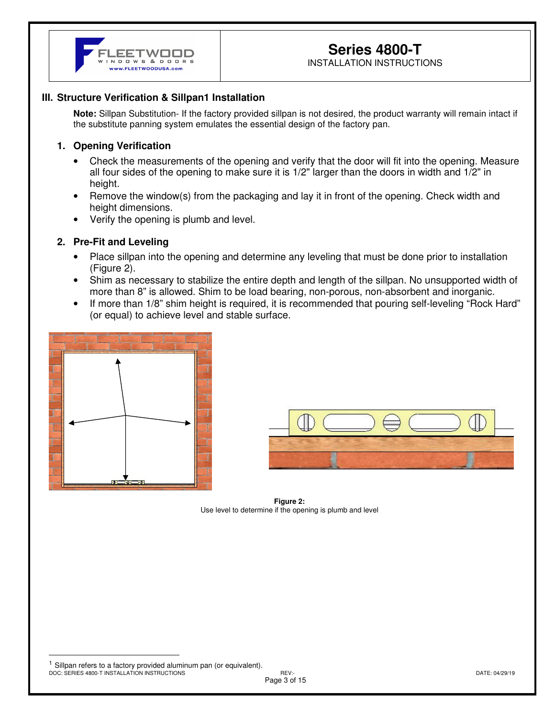

## **Series 4800-T**

INSTALLATION INSTRUCTIONS

### **III. Structure Verification & Sillpan1 Installation**

**Note:** Sillpan Substitution- If the factory provided sillpan is not desired, the product warranty will remain intact if the substitute panning system emulates the essential design of the factory pan.

#### **1. Opening Verification**

- Check the measurements of the opening and verify that the door will fit into the opening. Measure all four sides of the opening to make sure it is 1/2" larger than the doors in width and 1/2" in height.
- Remove the window(s) from the packaging and lay it in front of the opening. Check width and height dimensions.
- Verify the opening is plumb and level.

## **2. Pre-Fit and Leveling**

- Place sillpan into the opening and determine any leveling that must be done prior to installation (Figure 2).
- Shim as necessary to stabilize the entire depth and length of the sillpan. No unsupported width of more than 8" is allowed. Shim to be load bearing, non-porous, non-absorbent and inorganic.
- If more than 1/8" shim height is required, it is recommended that pouring self-leveling "Rock Hard" (or equal) to achieve level and stable surface.





 **Figure 2:**  Use level to determine if the opening is plumb and level

DOC: SERIES 4800-T INSTALLATION INSTRUCTIONS REV:- DATE: 04/29/19 Sillpan refers to a factory provided aluminum pan (or equivalent).

Page 3 of 15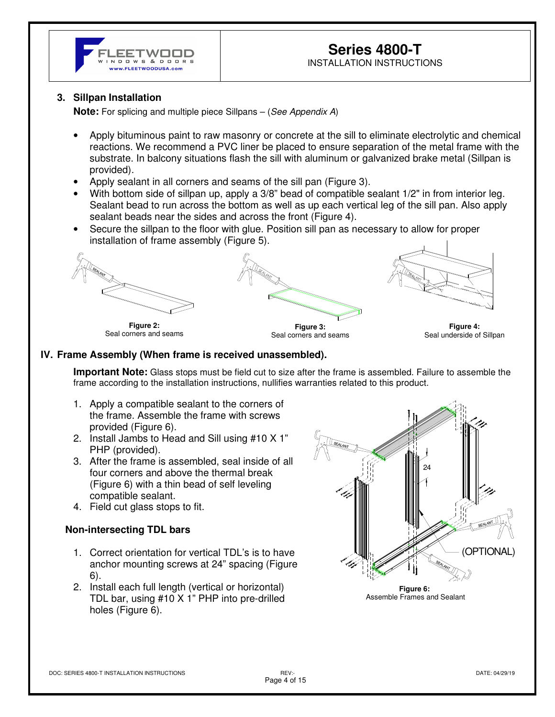

## **Series 4800-T**  INSTALLATION INSTRUCTIONS

#### **3. Sillpan Installation**

**Note:** For splicing and multiple piece Sillpans – (*See Appendix A*)

- Apply bituminous paint to raw masonry or concrete at the sill to eliminate electrolytic and chemical reactions. We recommend a PVC liner be placed to ensure separation of the metal frame with the substrate. In balcony situations flash the sill with aluminum or galvanized brake metal (Sillpan is provided).
- Apply sealant in all corners and seams of the sill pan (Figure 3).
- With bottom side of sillpan up, apply a 3/8" bead of compatible sealant 1/2" in from interior leg. Sealant bead to run across the bottom as well as up each vertical leg of the sill pan. Also apply sealant beads near the sides and across the front (Figure 4).
- Secure the sillpan to the floor with glue. Position sill pan as necessary to allow for proper installation of frame assembly (Figure 5).



**Figure 2:**  Seal corners and seams





**Figure 4:**  Seal underside of Sillpan

#### **IV. Frame Assembly (When frame is received unassembled).**

**Important Note:** Glass stops must be field cut to size after the frame is assembled. Failure to assemble the frame according to the installation instructions, nullifies warranties related to this product.

- 1. Apply a compatible sealant to the corners of the frame. Assemble the frame with screws provided (Figure 6).
- 2. Install Jambs to Head and Sill using #10 X 1" PHP (provided).
- 3. After the frame is assembled, seal inside of all four corners and above the thermal break (Figure 6) with a thin bead of self leveling compatible sealant.
- 4. Field cut glass stops to fit.

#### **Non-intersecting TDL bars**

- 1. Correct orientation for vertical TDL's is to have anchor mounting screws at 24" spacing (Figure 6).
- 2. Install each full length (vertical or horizontal) TDL bar, using #10 X 1" PHP into pre-drilled holes (Figure 6).



**Figure 6:**  Assemble Frames and Sealant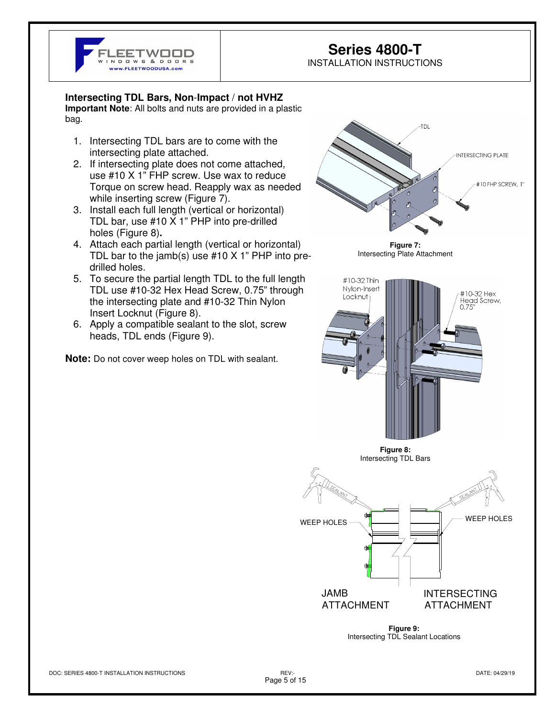

## **Series 4800-T**

INSTALLATION INSTRUCTIONS

#### **Intersecting TDL Bars, Non**-**Impact** / **not HVHZ**

**Important Note**: All bolts and nuts are provided in a plastic bag.

- 1. Intersecting TDL bars are to come with the intersecting plate attached.
- 2. If intersecting plate does not come attached, use #10 X 1" FHP screw. Use wax to reduce Torque on screw head. Reapply wax as needed while inserting screw (Figure 7).
- 3. Install each full length (vertical or horizontal) TDL bar, use #10 X 1" PHP into pre-drilled holes (Figure 8)**.**
- 4. Attach each partial length (vertical or horizontal) TDL bar to the jamb(s) use #10 X 1" PHP into predrilled holes.
- 5. To secure the partial length TDL to the full length TDL use #10-32 Hex Head Screw, 0.75" through the intersecting plate and #10-32 Thin Nylon Insert Locknut (Figure 8).
- 6. Apply a compatible sealant to the slot, screw heads, TDL ends (Figure 9).

**Note:** Do not cover weep holes on TDL with sealant.

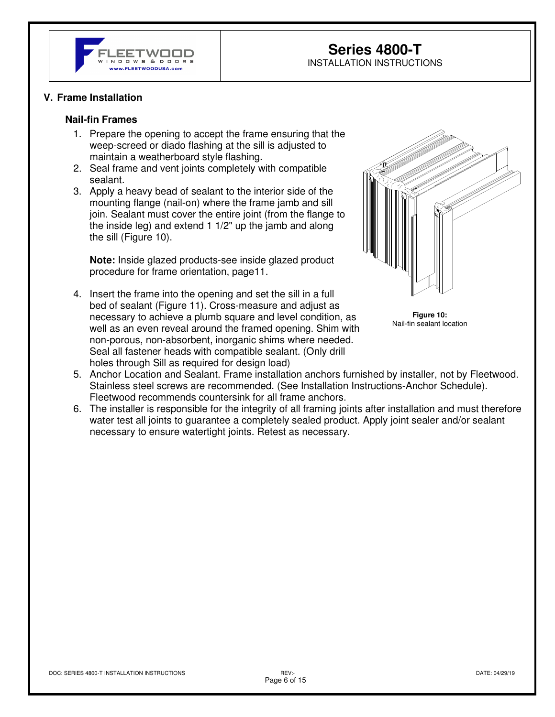

### **Series 4800-T**  INSTALLATION INSTRUCTIONS

#### **V. Frame Installation**

#### **Nail-fin Frames**

- 1. Prepare the opening to accept the frame ensuring that the weep-screed or diado flashing at the sill is adjusted to maintain a weatherboard style flashing.
- 2. Seal frame and vent joints completely with compatible sealant.
- 3. Apply a heavy bead of sealant to the interior side of the mounting flange (nail-on) where the frame jamb and sill join. Sealant must cover the entire joint (from the flange to the inside leg) and extend 1 1/2" up the jamb and along the sill (Figure 10).

**Note:** Inside glazed products-see inside glazed product procedure for frame orientation, page11.

4. Insert the frame into the opening and set the sill in a full bed of sealant (Figure 11). Cross-measure and adjust as necessary to achieve a plumb square and level condition, as well as an even reveal around the framed opening. Shim with non-porous, non-absorbent, inorganic shims where needed. Seal all fastener heads with compatible sealant. (Only drill holes through Sill as required for design load)



**Figure 10:**  Nail-fin sealant location

- 5. Anchor Location and Sealant. Frame installation anchors furnished by installer, not by Fleetwood. Stainless steel screws are recommended. (See Installation Instructions-Anchor Schedule). Fleetwood recommends countersink for all frame anchors.
- 6. The installer is responsible for the integrity of all framing joints after installation and must therefore water test all joints to guarantee a completely sealed product. Apply joint sealer and/or sealant necessary to ensure watertight joints. Retest as necessary.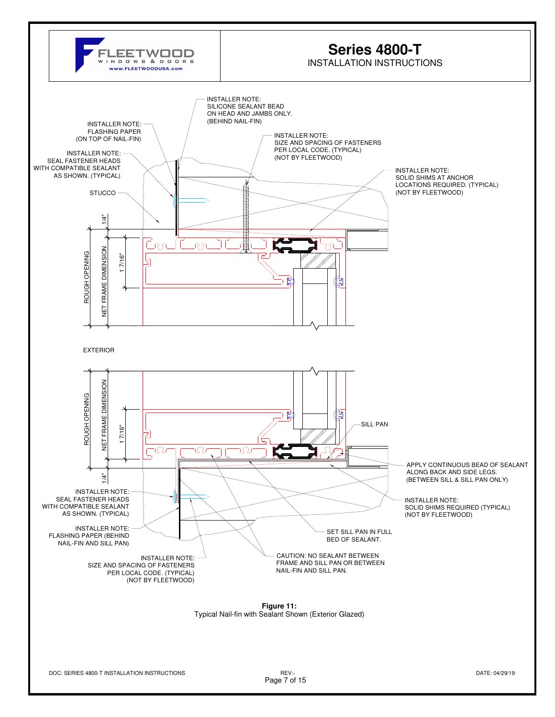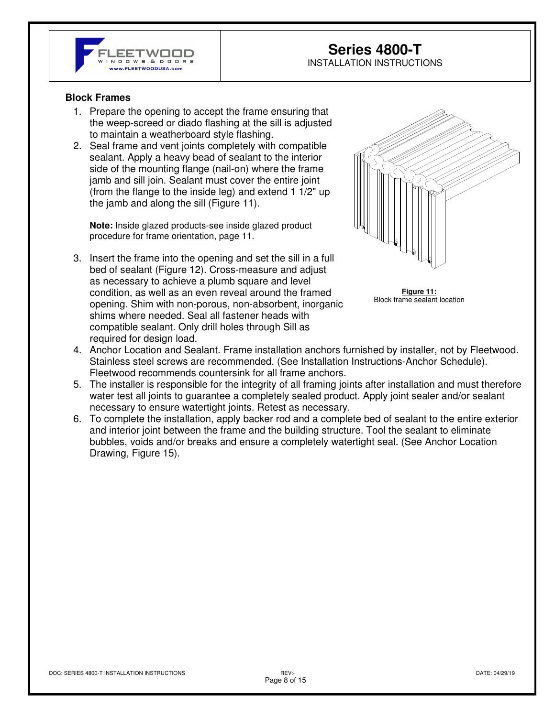

## **Series 4800-T**  INSTALLATION INSTRUCTIONS

#### **Block Frames**

- 1. Prepare the opening to accept the frame ensuring that the weep-screed or diado flashing at the sill is adjusted to maintain a weatherboard style flashing.
- 2. Seal frame and vent joints completely with compatible sealant. Apply a heavy bead of sealant to the interior side of the mounting flange (nail-on) where the frame jamb and sill join. Sealant must cover the entire joint (from the flange to the inside leg) and extend 1 1/2" up the jamb and along the sill (Figure 11).

**Note:** Inside glazed products-see inside glazed product procedure for frame orientation, page 11.

3. Insert the frame into the opening and set the sill in a full bed of sealant (Figure 12). Cross-measure and adjust as necessary to achieve a plumb square and level condition, as well as an even reveal around the framed opening. Shim with non-porous, non-absorbent, inorganic shims where needed. Seal all fastener heads with compatible sealant. Only drill holes through Sill as required for design load.



**Figure 11:**  Block frame sealant location

- 4. Anchor Location and Sealant. Frame installation anchors furnished by installer, not by Fleetwood. Stainless steel screws are recommended. (See Installation Instructions-Anchor Schedule). Fleetwood recommends countersink for all frame anchors.
- 5. The installer is responsible for the integrity of all framing joints after installation and must therefore water test all joints to guarantee a completely sealed product. Apply joint sealer and/or sealant necessary to ensure watertight joints. Retest as necessary.
- 6. To complete the installation, apply backer rod and a complete bed of sealant to the entire exterior and interior joint between the frame and the building structure. Tool the sealant to eliminate bubbles, voids and/or breaks and ensure a completely watertight seal. (See Anchor Location Drawing, Figure 15).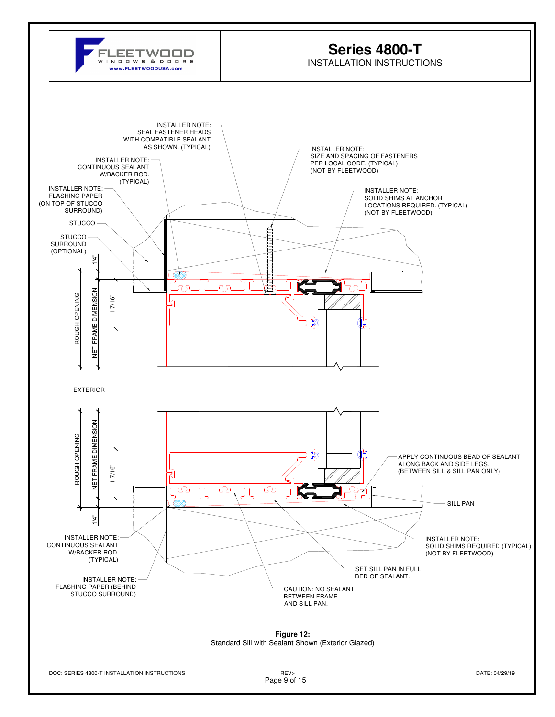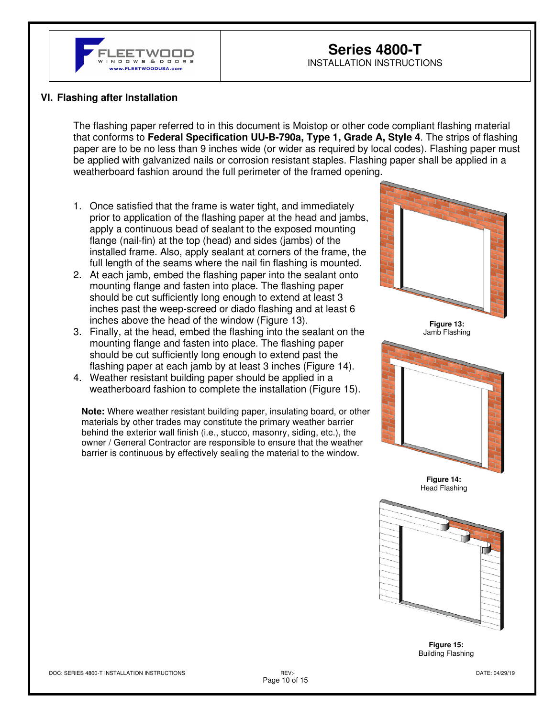

## **Series 4800-T**  INSTALLATION INSTRUCTIONS

### **VI. Flashing after Installation**

The flashing paper referred to in this document is Moistop or other code compliant flashing material that conforms to **Federal Specification UU-B-790a, Type 1, Grade A, Style 4**. The strips of flashing paper are to be no less than 9 inches wide (or wider as required by local codes). Flashing paper must be applied with galvanized nails or corrosion resistant staples. Flashing paper shall be applied in a weatherboard fashion around the full perimeter of the framed opening.

- 1. Once satisfied that the frame is water tight, and immediately prior to application of the flashing paper at the head and jambs, apply a continuous bead of sealant to the exposed mounting flange (nail-fin) at the top (head) and sides (jambs) of the installed frame. Also, apply sealant at corners of the frame, the full length of the seams where the nail fin flashing is mounted.
- 2. At each jamb, embed the flashing paper into the sealant onto mounting flange and fasten into place. The flashing paper should be cut sufficiently long enough to extend at least 3 inches past the weep-screed or diado flashing and at least 6 inches above the head of the window (Figure 13).
- 3. Finally, at the head, embed the flashing into the sealant on the mounting flange and fasten into place. The flashing paper should be cut sufficiently long enough to extend past the flashing paper at each jamb by at least 3 inches (Figure 14).
- 4. Weather resistant building paper should be applied in a weatherboard fashion to complete the installation (Figure 15).

**Note:** Where weather resistant building paper, insulating board, or other materials by other trades may constitute the primary weather barrier behind the exterior wall finish (i.e., stucco, masonry, siding, etc.), the owner / General Contractor are responsible to ensure that the weather barrier is continuous by effectively sealing the material to the window.







**Figure 14:**  Head Flashing



**Figure 15:**  Building Flashing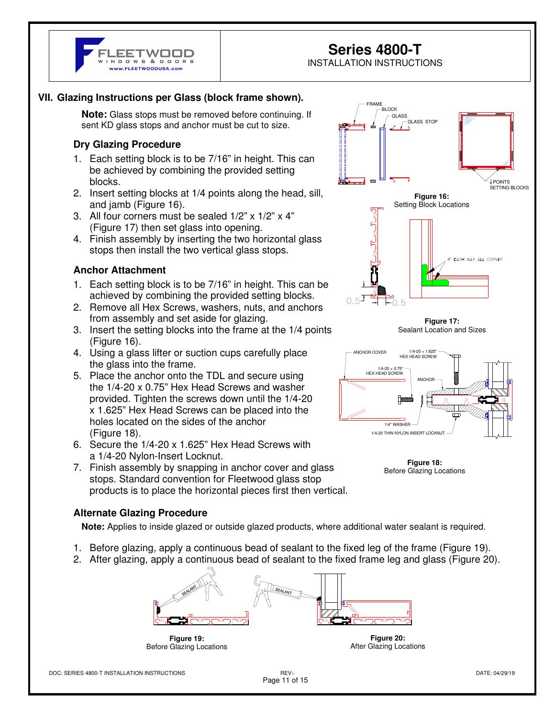

## **Series 4800-T**

INSTALLATION INSTRUCTIONS

## **VII. Glazing Instructions per Glass (block frame shown).**

**Note:** Glass stops must be removed before continuing. If sent KD glass stops and anchor must be cut to size.

## **Dry Glazing Procedure**

- 1. Each setting block is to be 7/16" in height. This can be achieved by combining the provided setting blocks.
- 2. Insert setting blocks at 1/4 points along the head, sill, and jamb (Figure 16).
- 3. All four corners must be sealed 1/2" x 1/2" x 4" (Figure 17) then set glass into opening.
- 4. Finish assembly by inserting the two horizontal glass stops then install the two vertical glass stops.

#### **Anchor Attachment**

- 1. Each setting block is to be 7/16" in height. This can be achieved by combining the provided setting blocks.
- 2. Remove all Hex Screws, washers, nuts, and anchors from assembly and set aside for glazing.
- 3. Insert the setting blocks into the frame at the 1/4 points (Figure 16).
- 4. Using a glass lifter or suction cups carefully place the glass into the frame.
- 5. Place the anchor onto the TDL and secure using the 1/4-20 x 0.75" Hex Head Screws and washer provided. Tighten the screws down until the 1/4-20 x 1.625" Hex Head Screws can be placed into the holes located on the sides of the anchor (Figure 18).
- 6. Secure the 1/4-20 x 1.625" Hex Head Screws with a 1/4-20 Nylon-Insert Locknut.
- 7. Finish assembly by snapping in anchor cover and glass stops. Standard convention for Fleetwood glass stop products is to place the horizontal pieces first then vertical.

## **Alternate Glazing Procedure**

**Note:** Applies to inside glazed or outside glazed products, where additional water sealant is required.

- 1. Before glazing, apply a continuous bead of sealant to the fixed leg of the frame (Figure 19).
- 2. After glazing, apply a continuous bead of sealant to the fixed frame leg and glass (Figure 20).



**Figure 19:**  Before Glazing Locations

**Figure 20:**  After Glazing Locations





**Figure 18:**  Before Glazing Locations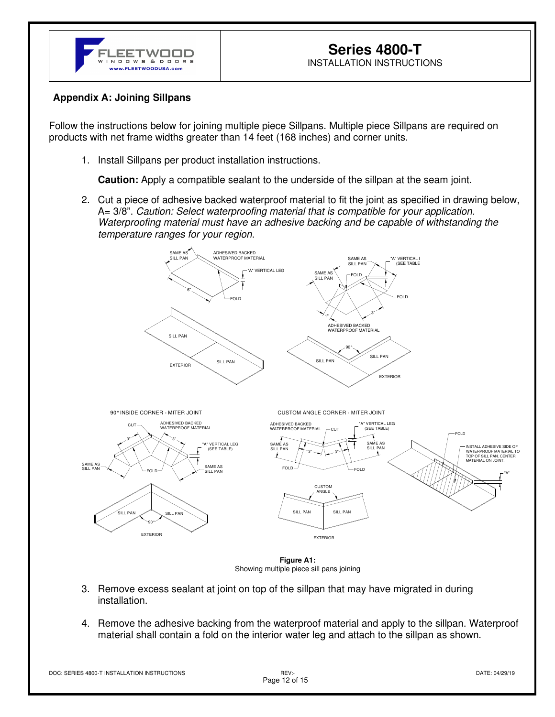

## **Appendix A: Joining Sillpans**

÷,

Follow the instructions below for joining multiple piece Sillpans. Multiple piece Sillpans are required on products with net frame widths greater than 14 feet (168 inches) and corner units.

1. Install Sillpans per product installation instructions.

**Caution:** Apply a compatible sealant to the underside of the sillpan at the seam joint.

2. Cut a piece of adhesive backed waterproof material to fit the joint as specified in drawing below, A= 3/8". Caution: Select waterproofing material that is compatible for your application. Waterproofing material must have an adhesive backing and be capable of withstanding the temperature ranges for your region.



**Figure A1:**  Showing multiple piece sill pans joining

- 3. Remove excess sealant at joint on top of the sillpan that may have migrated in during installation.
- 4. Remove the adhesive backing from the waterproof material and apply to the sillpan. Waterproof material shall contain a fold on the interior water leg and attach to the sillpan as shown.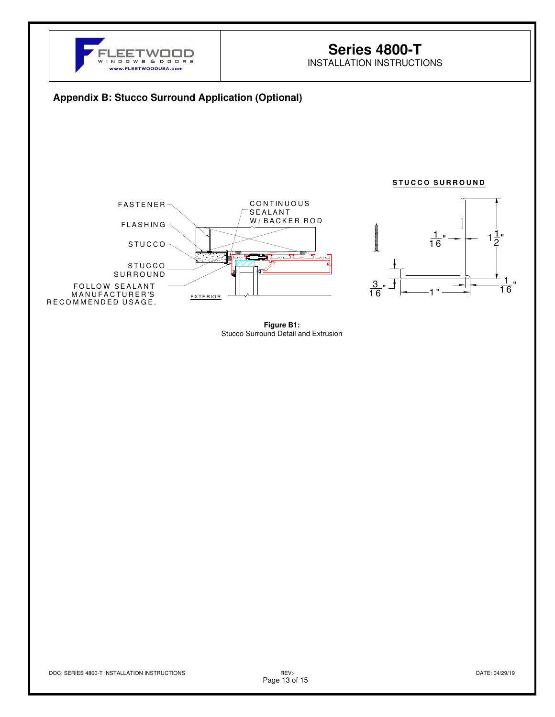

## **Series 4800-T**

INSTALLATION INSTRUCTIONS

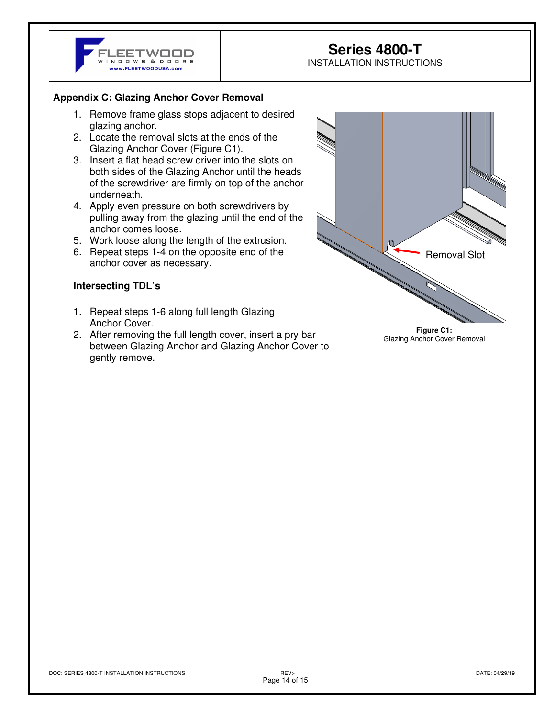

# **Series 4800-T**

INSTALLATION INSTRUCTIONS

## **Appendix C: Glazing Anchor Cover Removal**

- 1. Remove frame glass stops adjacent to desired glazing anchor.
- 2. Locate the removal slots at the ends of the Glazing Anchor Cover (Figure C1).
- 3. Insert a flat head screw driver into the slots on both sides of the Glazing Anchor until the heads of the screwdriver are firmly on top of the anchor underneath.
- 4. Apply even pressure on both screwdrivers by pulling away from the glazing until the end of the anchor comes loose.
- 5. Work loose along the length of the extrusion.
- 6. Repeat steps 1-4 on the opposite end of the anchor cover as necessary.

## **Intersecting TDL's**

- 1. Repeat steps 1-6 along full length Glazing Anchor Cover.
- 2. After removing the full length cover, insert a pry bar between Glazing Anchor and Glazing Anchor Cover to gently remove.



Glazing Anchor Cover Removal